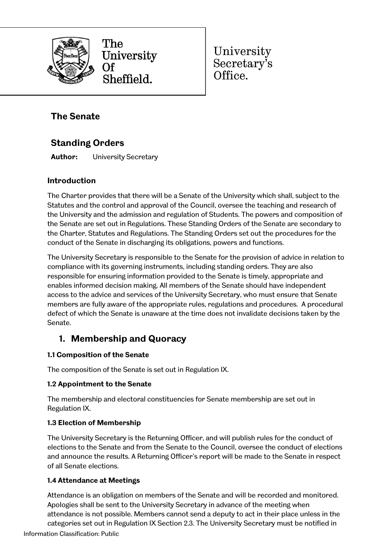

The University Sheffield.

University Secretary's Office.

# **The Senate**

# **Standing Orders**

**Author:** University Secretary

## **Introduction**

The Charter provides that there will be a Senate of the University which shall, subject to the Statutes and the control and approval of the Council, oversee the teaching and research of the University and the admission and regulation of Students. The powers and composition of the Senate are set out in Regulations. These Standing Orders of the Senate are secondary to the Charter, Statutes and Regulations. The Standing Orders set out the procedures for the conduct of the Senate in discharging its obligations, powers and functions.

The University Secretary is responsible to the Senate for the provision of advice in relation to compliance with its governing instruments, including standing orders. They are also responsible for ensuring information provided to the Senate is timely, appropriate and enables informed decision making. All members of the Senate should have independent access to the advice and services of the University Secretary, who must ensure that Senate members are fully aware of the appropriate rules, regulations and procedures. A procedural defect of which the Senate is unaware at the time does not invalidate decisions taken by the Senate.

# **1. Membership and Quoracy**

## **1.1 Composition of the Senate**

The composition of the Senate is set out in Regulation IX.

## **1.2 Appointment to the Senate**

The membership and electoral constituencies for Senate membership are set out in Regulation IX.

## **1.3 Election of Membership**

The University Secretary is the Returning Officer, and will publish rules for the conduct of elections to the Senate and from the Senate to the Council, oversee the conduct of elections and announce the results. A Returning Officer's report will be made to the Senate in respect of all Senate elections.

## **1.4 Attendance at Meetings**

Attendance is an obligation on members of the Senate and will be recorded and monitored. Apologies shall be sent to the University Secretary in advance of the meeting when attendance is not possible. Members cannot send a deputy to act in their place unless in the categories set out in Regulation IX Section 2.3. The University Secretary must be notified in

Information Classification: Public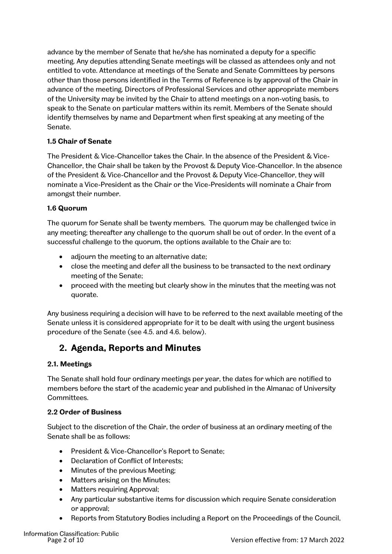advance by the member of Senate that he/she has nominated a deputy for a specific meeting. Any deputies attending Senate meetings will be classed as attendees only and not entitled to vote. Attendance at meetings of the Senate and Senate Committees by persons other than those persons identified in the Terms of Reference is by approval of the Chair in advance of the meeting. Directors of Professional Services and other appropriate members of the University may be invited by the Chair to attend meetings on a non-voting basis, to speak to the Senate on particular matters within its remit. Members of the Senate should identify themselves by name and Department when first speaking at any meeting of the Senate.

## **1.5 Chair of Senate**

The President & Vice-Chancellor takes the Chair. In the absence of the President & Vice-Chancellor, the Chair shall be taken by the Provost & Deputy Vice-Chancellor. In the absence of the President & Vice-Chancellor and the Provost & Deputy Vice-Chancellor, they will nominate a Vice-President as the Chair or the Vice-Presidents will nominate a Chair from amongst their number.

## **1.6 Quorum**

The quorum for Senate shall be twenty members. The quorum may be challenged twice in any meeting; thereafter any challenge to the quorum shall be out of order. In the event of a successful challenge to the quorum, the options available to the Chair are to:

- adjourn the meeting to an alternative date;
- close the meeting and defer all the business to be transacted to the next ordinary meeting of the Senate;
- proceed with the meeting but clearly show in the minutes that the meeting was not quorate.

Any business requiring a decision will have to be referred to the next available meeting of the Senate unless it is considered appropriate for it to be dealt with using the urgent business procedure of the Senate (see 4.5. and 4.6. below).

## **2. Agenda, Reports and Minutes**

## **2.1. Meetings**

The Senate shall hold four ordinary meetings per year, the dates for which are notified to members before the start of the academic year and published in the Almanac of University Committees.

#### **2.2 Order of Business**

Subject to the discretion of the Chair, the order of business at an ordinary meeting of the Senate shall be as follows:

- President & Vice-Chancellor's Report to Senate;
- Declaration of Conflict of Interests;
- Minutes of the previous Meeting;
- Matters arising on the Minutes;
- Matters requiring Approval;
- Any particular substantive items for discussion which require Senate consideration or approval;
- Reports from Statutory Bodies including a Report on the Proceedings of the Council,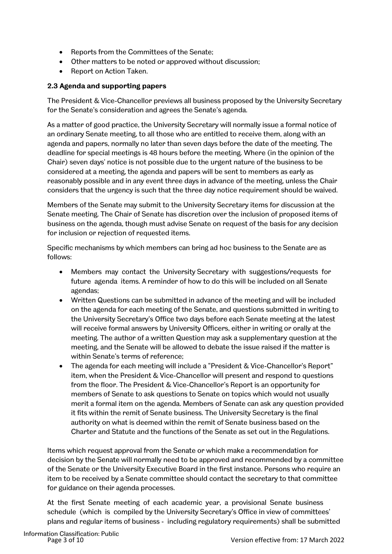- Reports from the Committees of the Senate;
- Other matters to be noted or approved without discussion;
- Report on Action Taken.

#### **2.3 Agenda and supporting papers**

The President & Vice-Chancellor previews all business proposed by the University Secretary for the Senate's consideration and agrees the Senate's agenda.

As a matter of good practice, the University Secretary will normally issue a formal notice of an ordinary Senate meeting, to all those who are entitled to receive them, along with an agenda and papers, normally no later than seven days before the date of the meeting. The deadline for special meetings is 48 hours before the meeting. Where (in the opinion of the Chair) seven days' notice is not possible due to the urgent nature of the business to be considered at a meeting, the agenda and papers will be sent to members as early as reasonably possible and in any event three days in advance of the meeting, unless the Chair considers that the urgency is such that the three day notice requirement should be waived.

Members of the Senate may submit to the University Secretary items for discussion at the Senate meeting. The Chair of Senate has discretion over the inclusion of proposed items of business on the agenda, though must advise Senate on request of the basis for any decision for inclusion or rejection of requested items.

Specific mechanisms by which members can bring ad hoc business to the Senate are as follows:

- Members may contact the University Secretary with suggestions/requests for future agenda items. A reminder of how to do this will be included on all Senate agendas;
- Written Questions can be submitted in advance of the meeting and will be included on the agenda for each meeting of the Senate, and questions submitted in writing to the University Secretary's Office two days before each Senate meeting at the latest will receive formal answers by University Officers, either in writing or orally at the meeting. The author of a written Question may ask a supplementary question at the meeting, and the Senate will be allowed to debate the issue raised if the matter is within Senate's terms of reference;
- The agenda for each meeting will include a "President & Vice-Chancellor's Report" item, when the President & Vice-Chancellor will present and respond to questions from the floor. The President & Vice-Chancellor's Report is an opportunity for members of Senate to ask questions to Senate on topics which would not usually merit a formal item on the agenda. Members of Senate can ask any question provided it fits within the remit of Senate business. The University Secretary is the final authority on what is deemed within the remit of Senate business based on the Charter and Statute and the functions of the Senate as set out in the Regulations.

Items which request approval from the Senate or which make a recommendation for decision by the Senate will normally need to be approved and recommended by a committee of the Senate or the University Executive Board in the first instance. Persons who require an item to be received by a Senate committee should contact the secretary to that committee for guidance on their agenda processes.

At the first Senate meeting of each academic year, a provisional Senate business schedule (which is compiled by the University Secretary's Office in view of committees' plans and regular items of business - including regulatory requirements) shall be submitted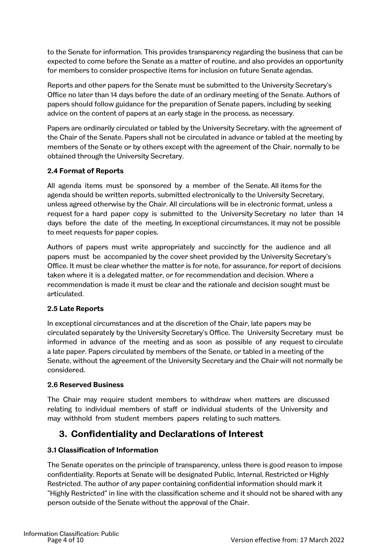to the Senate for information. This provides transparency regarding the business that can be expected to come before the Senate as a matter of routine, and also provides an opportunity for members to consider prospective items for inclusion on future Senate agendas.

Reports and other papers for the Senate must be submitted to the University Secretary's Office no later than 14 days before the date of an ordinary meeting of the Senate. Authors of papers should follow guidance for the preparation of Senate papers, including by seeking advice on the content of papers at an early stage in the process, as necessary.

Papers are ordinarily circulated or tabled by the University Secretary, with the agreement of the Chair of the Senate. Papers shall not be circulated in advance or tabled at the meeting by members of the Senate or by others except with the agreement of the Chair, normally to be obtained through the University Secretary.

## **2.4 Format of Reports**

All agenda items must be sponsored by a member of the Senate. All items for the agenda should be written reports, submitted electronically to the University Secretary, unless agreed otherwise by the Chair. All circulations will be in electronic format, unless a request for a hard paper copy is submitted to the University Secretary no later than 14 days before the date of the meeting. In exceptional circumstances, it may not be possible to meet requests for paper copies.

Authors of papers must write appropriately and succinctly for the audience and all papers must be accompanied by the cover sheet provided by the University Secretary's Office. It must be clear whether the matter is for note, for assurance, for report of decisions taken where it is a delegated matter, or for recommendation and decision. Where a recommendation is made it must be clear and the rationale and decision sought must be articulated.

## **2.5 Late Reports**

In exceptional circumstances and at the discretion of the Chair, late papers may be circulated separately by the University Secretary's Office. The University Secretary must be informed in advance of the meeting and as soon as possible of any request to circulate a late paper. Papers circulated by members of the Senate, or tabled in a meeting of the Senate, without the agreement of the University Secretary and the Chair will not normally be considered.

#### **2.6 Reserved Business**

The Chair may require student members to withdraw when matters are discussed relating to individual members of staff or individual students of the University and may withhold from student members papers relating to such matters.

## **3. Confidentiality and Declarations of Interest**

## **3.1 Classification of Information**

The Senate operates on the principle of transparency, unless there is good reason to impose confidentiality. Reports at Senate will be designated Public, Internal, Restricted or Highly Restricted. The author of any paper containing confidential information should mark it "Highly Restricted" in line with the classification scheme and it should not be shared with any person outside of the Senate without the approval of the Chair.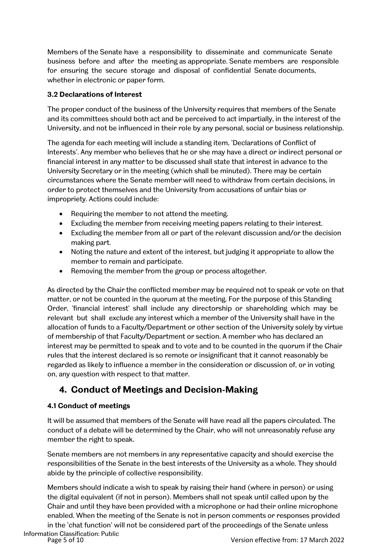Members of the Senate have a responsibility to disseminate and communicate Senate business before and after the meeting as appropriate. Senate members are responsible for ensuring the secure storage and disposal of confidential Senate documents, whether in electronic or paper form.

#### **3.2 Declarations of Interest**

The proper conduct of the business of the University requires that members of the Senate and its committees should both act and be perceived to act impartially, in the interest of the University, and not be influenced in their role by any personal, social or business relationship.

The agenda for each meeting will include a standing item, 'Declarations of Conflict of Interests'. Any member who believes that he or she may have a direct or indirect personal or financial interest in any matter to be discussed shall state that interest in advance to the University Secretary or in the meeting (which shall be minuted). There may be certain circumstances where the Senate member will need to withdraw from certain decisions, in order to protect themselves and the University from accusations of unfair bias or impropriety. Actions could include:

- Requiring the member to not attend the meeting.
- Excluding the member from receiving meeting papers relating to their interest.
- Excluding the member from all or part of the relevant discussion and/or the decision making part.
- Noting the nature and extent of the interest, but judging it appropriate to allow the member to remain and participate.
- Removing the member from the group or process altogether.

As directed by the Chair the conflicted member may be required not to speak or vote on that matter, or not be counted in the quorum at the meeting. For the purpose of this Standing Order, 'financial interest' shall include any directorship or shareholding which may be relevant but shall exclude any interest which a member of the University shall have in the allocation of funds to a Faculty/Department or other section of the University solely by virtue of membership of that Faculty/Department or section. A member who has declared an interest may be permitted to speak and to vote and to be counted in the quorum if the Chair rules that the interest declared is so remote or insignificant that it cannot reasonably be regarded as likely to influence a member in the consideration or discussion of, or in voting on, any question with respect to that matter.

# **4. Conduct of Meetings and Decision-Making**

## **4.1 Conduct of meetings**

It will be assumed that members of the Senate will have read all the papers circulated. The conduct of a debate will be determined by the Chair, who will not unreasonably refuse any member the right to speak.

Senate members are not members in any representative capacity and should exercise the responsibilities of the Senate in the best interests of the University as a whole. They should abide by the principle of collective responsibility.

Members should indicate a wish to speak by raising their hand (where in person) or using the digital equivalent (if not in person). Members shall not speak until called upon by the Chair and until they have been provided with a microphone or had their online microphone enabled. When the meeting of the Senate is not in person comments or responses provided in the 'chat function' will not be considered part of the proceedings of the Senate unless Information Classification: Public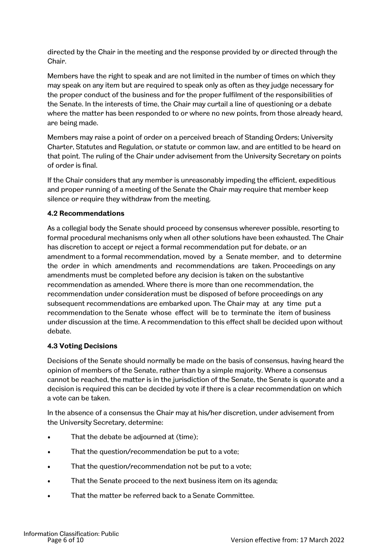directed by the Chair in the meeting and the response provided by or directed through the Chair.

Members have the right to speak and are not limited in the number of times on which they may speak on any item but are required to speak only as often as they judge necessary for the proper conduct of the business and for the proper fulfilment of the responsibilities of the Senate. In the interests of time, the Chair may curtail a line of questioning or a debate where the matter has been responded to or where no new points, from those already heard, are being made.

Members may raise a point of order on a perceived breach of Standing Orders; University Charter, Statutes and Regulation, or statute or common law, and are entitled to be heard on that point. The ruling of the Chair under advisement from the University Secretary on points of order is final.

If the Chair considers that any member is unreasonably impeding the efficient, expeditious and proper running of a meeting of the Senate the Chair may require that member keep silence or require they withdraw from the meeting.

#### **4.2 Recommendations**

As a collegial body the Senate should proceed by consensus wherever possible, resorting to formal procedural mechanisms only when all other solutions have been exhausted. The Chair has discretion to accept or reject a formal recommendation put for debate, or an amendment to a formal recommendation, moved by a Senate member, and to determine the order in which amendments and recommendations are taken. Proceedings on any amendments must be completed before any decision is taken on the substantive recommendation as amended. Where there is more than one recommendation, the recommendation under consideration must be disposed of before proceedings on any subsequent recommendations are embarked upon. The Chair may at any time put a recommendation to the Senate whose effect will be to terminate the item of business under discussion at the time. A recommendation to this effect shall be decided upon without debate.

#### **4.3 Voting Decisions**

Decisions of the Senate should normally be made on the basis of consensus, having heard the opinion of members of the Senate, rather than by a simple majority. Where a consensus cannot be reached, the matter is in the jurisdiction of the Senate, the Senate is quorate and a decision is required this can be decided by vote if there is a clear recommendation on which a vote can be taken.

In the absence of a consensus the Chair may at his/her discretion, under advisement from the University Secretary, determine:

- That the debate be adjourned at (time);
- That the question/recommendation be put to a vote;
- That the question/recommendation not be put to a vote;
- That the Senate proceed to the next business item on its agenda;
- That the matter be referred back to a Senate Committee.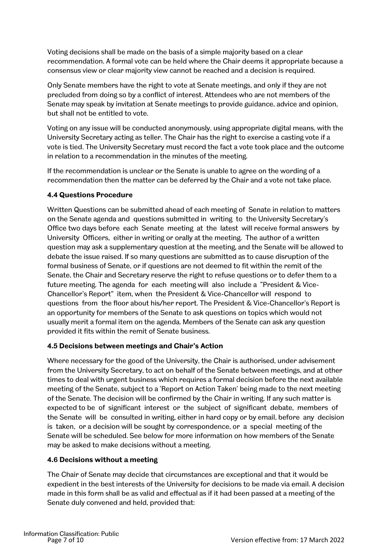Voting decisions shall be made on the basis of a simple majority based on a clear recommendation. A formal vote can be held where the Chair deems it appropriate because a consensus view or clear majority view cannot be reached and a decision is required.

Only Senate members have the right to vote at Senate meetings, and only if they are not precluded from doing so by a conflict of interest. Attendees who are not members of the Senate may speak by invitation at Senate meetings to provide guidance, advice and opinion, but shall not be entitled to vote.

Voting on any issue will be conducted anonymously, using appropriate digital means, with the University Secretary acting as teller. The Chair has the right to exercise a casting vote if a vote is tied. The University Secretary must record the fact a vote took place and the outcome in relation to a recommendation in the minutes of the meeting.

If the recommendation is unclear or the Senate is unable to agree on the wording of a recommendation then the matter can be deferred by the Chair and a vote not take place.

#### **4.4 Questions Procedure**

Written Questions can be submitted ahead of each meeting of Senate in relation to matters on the Senate agenda and questions submitted in writing to the University Secretary's Office two days before each Senate meeting at the latest will receive formal answers by University Officers, either in writing or orally at the meeting. The author of a written question may ask a supplementary question at the meeting, and the Senate will be allowed to debate the issue raised. If so many questions are submitted as to cause disruption of the formal business of Senate, or if questions are not deemed to fit within the remit of the Senate, the Chair and Secretary reserve the right to refuse questions or to defer them to a future meeting. The agenda for each meeting will also include a "President & Vice-Chancellor's Report" item, when the President & Vice-Chancellor will respond to questions from the floor about his/her report. The President & Vice-Chancellor's Report is an opportunity for members of the Senate to ask questions on topics which would not usually merit a formal item on the agenda. Members of the Senate can ask any question provided it fits within the remit of Senate business.

## **4.5 Decisions between meetings and Chair's Action**

Where necessary for the good of the University, the Chair is authorised, under advisement from the University Secretary, to act on behalf of the Senate between meetings, and at other times to deal with urgent business which requires a formal decision before the next available meeting of the Senate, subject to a 'Report on Action Taken' being made to the next meeting of the Senate. The decision will be confirmed by the Chair in writing. If any such matter is expected to be of significant interest or the subject of significant debate, members of the Senate will be consulted in writing, either in hard copy or by email, before any decision is taken, or a decision will be sought by correspondence, or a special meeting of the Senate will be scheduled. See below for more information on how members of the Senate may be asked to make decisions without a meeting.

## **4.6 Decisions without a meeting**

The Chair of Senate may decide that circumstances are exceptional and that it would be expedient in the best interests of the University for decisions to be made via email. A decision made in this form shall be as valid and effectual as if it had been passed at a meeting of the Senate duly convened and held, provided that: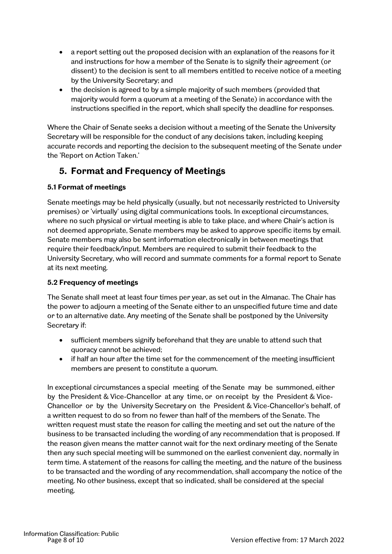- a report setting out the proposed decision with an explanation of the reasons for it and instructions for how a member of the Senate is to signify their agreement (or dissent) to the decision is sent to all members entitled to receive notice of a meeting by the University Secretary; and
- the decision is agreed to by a simple majority of such members (provided that majority would form a quorum at a meeting of the Senate) in accordance with the instructions specified in the report, which shall specify the deadline for responses.

Where the Chair of Senate seeks a decision without a meeting of the Senate the University Secretary will be responsible for the conduct of any decisions taken, including keeping accurate records and reporting the decision to the subsequent meeting of the Senate under the 'Report on Action Taken.'

## **5. Format and Frequency of Meetings**

## **5.1 Format of meetings**

Senate meetings may be held physically (usually, but not necessarily restricted to University premises) or 'virtually' using digital communications tools. In exceptional circumstances, where no such physical or virtual meeting is able to take place, and where Chair's action is not deemed appropriate, Senate members may be asked to approve specific items by email. Senate members may also be sent information electronically in between meetings that require their feedback/input. Members are required to submit their feedback to the University Secretary, who will record and summate comments for a formal report to Senate at its next meeting.

## **5.2 Frequency of meetings**

The Senate shall meet at least four times per year, as set out in the Almanac. The Chair has the power to adjourn a meeting of the Senate either to an unspecified future time and date or to an alternative date. Any meeting of the Senate shall be postponed by the University Secretary if:

- sufficient members signify beforehand that they are unable to attend such that quoracy cannot be achieved;
- if half an hour after the time set for the commencement of the meeting insufficient members are present to constitute a quorum.

In exceptional circumstances a special meeting of the Senate may be summoned, either by the President & Vice-Chancellor at any time, or on receipt by the President & Vice-Chancellor or by the University Secretary on the President & Vice-Chancellor's behalf, of a written request to do so from no fewer than half of the members of the Senate. The written request must state the reason for calling the meeting and set out the nature of the business to be transacted including the wording of any recommendation that is proposed. If the reason given means the matter cannot wait for the next ordinary meeting of the Senate then any such special meeting will be summoned on the earliest convenient day, normally in term time. A statement of the reasons for calling the meeting, and the nature of the business to be transacted and the wording of any recommendation, shall accompany the notice of the meeting. No other business, except that so indicated, shall be considered at the special meeting.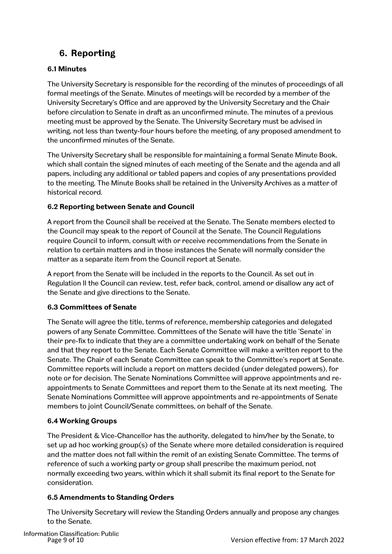# **6. Reporting**

## **6.1 Minutes**

The University Secretary is responsible for the recording of the minutes of proceedings of all formal meetings of the Senate. Minutes of meetings will be recorded by a member of the University Secretary's Office and are approved by the University Secretary and the Chair before circulation to Senate in draft as an unconfirmed minute. The minutes of a previous meeting must be approved by the Senate. The University Secretary must be advised in writing, not less than twenty-four hours before the meeting, of any proposed amendment to the unconfirmed minutes of the Senate.

The University Secretary shall be responsible for maintaining a formal Senate Minute Book, which shall contain the signed minutes of each meeting of the Senate and the agenda and all papers, including any additional or tabled papers and copies of any presentations provided to the meeting. The Minute Books shall be retained in the University Archives as a matter of historical record.

## **6.2 Reporting between Senate and Council**

A report from the Council shall be received at the Senate. The Senate members elected to the Council may speak to the report of Council at the Senate. The Council Regulations require Council to inform, consult with or receive recommendations from the Senate in relation to certain matters and in those instances the Senate will normally consider the matter as a separate item from the Council report at Senate.

A report from the Senate will be included in the reports to the Council. As set out in Regulation II the Council can review, test, refer back, control, amend or disallow any act of the Senate and give directions to the Senate.

## **6.3 Committees of Senate**

The Senate will agree the title, terms of reference, membership categories and delegated powers of any Senate Committee. Committees of the Senate will have the title 'Senate' in their pre-fix to indicate that they are a committee undertaking work on behalf of the Senate and that they report to the Senate. Each Senate Committee will make a written report to the Senate. The Chair of each Senate Committee can speak to the Committee's report at Senate. Committee reports will include a report on matters decided (under delegated powers), for note or for decision. The Senate Nominations Committee will approve appointments and reappointments to Senate Committees and report them to the Senate at its next meeting. The Senate Nominations Committee will approve appointments and re-appointments of Senate members to joint Council/Senate committees, on behalf of the Senate.

## **6.4 Working Groups**

The President & Vice-Chancellor has the authority, delegated to him/her by the Senate, to set up ad hoc working group(s) of the Senate where more detailed consideration is required and the matter does not fall within the remit of an existing Senate Committee. The terms of reference of such a working party or group shall prescribe the maximum period, not normally exceeding two years, within which it shall submit its final report to the Senate for consideration.

## **6.5 Amendments to Standing Orders**

The University Secretary will review the Standing Orders annually and propose any changes to the Senate.